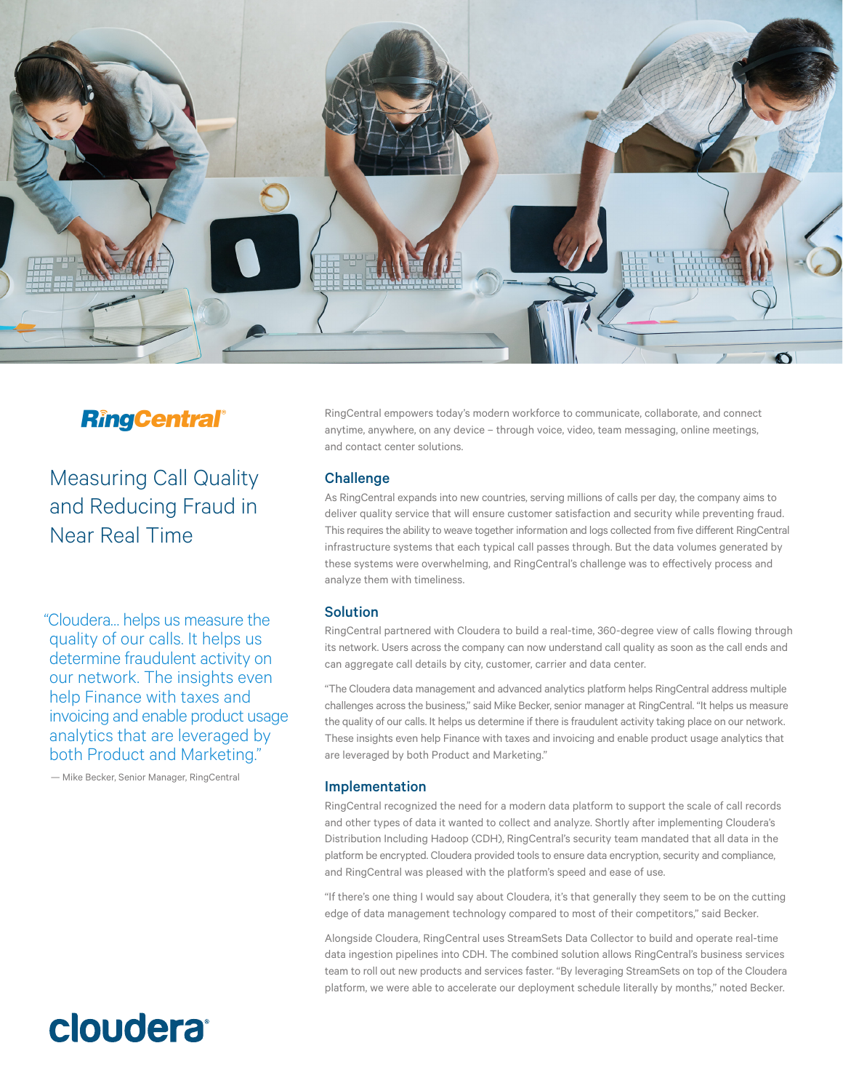

# **RingCentral®**

Measuring Call Quality and Reducing Fraud in Near Real Time

"Cloudera… helps us measure the quality of our calls. It helps us determine fraudulent activity on our network. The insights even help Finance with taxes and invoicing and enable product usage analytics that are leveraged by both Product and Marketing."

— Mike Becker, Senior Manager, RingCentral

# cloudera

RingCentral empowers today's modern workforce to communicate, collaborate, and connect anytime, anywhere, on any device – through voice, video, team messaging, online meetings, and contact center solutions.

## **Challenge**

As RingCentral expands into new countries, serving millions of calls per day, the company aims to deliver quality service that will ensure customer satisfaction and security while preventing fraud. This requires the ability to weave together information and logs collected from five different RingCentral infrastructure systems that each typical call passes through. But the data volumes generated by these systems were overwhelming, and RingCentral's challenge was to effectively process and analyze them with timeliness.

## Solution

RingCentral partnered with Cloudera to build a real-time, 360-degree view of calls flowing through its network. Users across the company can now understand call quality as soon as the call ends and can aggregate call details by city, customer, carrier and data center.

"The Cloudera data management and advanced analytics platform helps RingCentral address multiple challenges across the business," said Mike Becker, senior manager at RingCentral. "It helps us measure the quality of our calls. It helps us determine if there is fraudulent activity taking place on our network. These insights even help Finance with taxes and invoicing and enable product usage analytics that are leveraged by both Product and Marketing."

## Implementation

RingCentral recognized the need for a modern data platform to support the scale of call records and other types of data it wanted to collect and analyze. Shortly after implementing Cloudera's Distribution Including Hadoop (CDH), RingCentral's security team mandated that all data in the platform be encrypted. Cloudera provided tools to ensure data encryption, security and compliance, and RingCentral was pleased with the platform's speed and ease of use.

"If there's one thing I would say about Cloudera, it's that generally they seem to be on the cutting edge of data management technology compared to most of their competitors," said Becker.

Alongside Cloudera, RingCentral uses StreamSets Data Collector to build and operate real-time data ingestion pipelines into CDH. The combined solution allows RingCentral's business services team to roll out new products and services faster. "By leveraging StreamSets on top of the Cloudera platform, we were able to accelerate our deployment schedule literally by months," noted Becker.